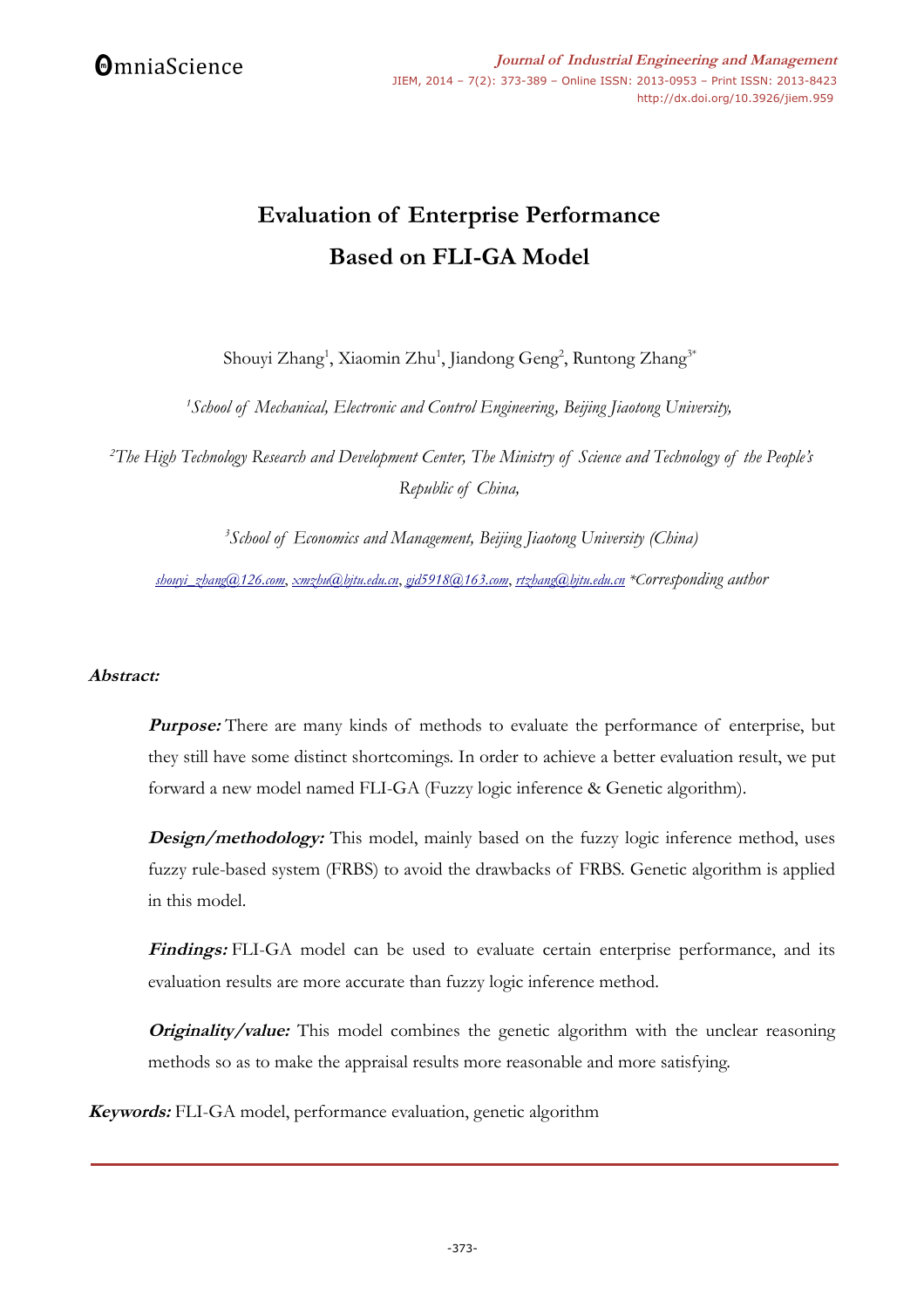# **Evaluation of Enterprise Performance Based on FLI-GA Model**

Shouyi Zhang<sup>1</sup>, Xiaomin Zhu<sup>1</sup>, Jiandong Geng<sup>2</sup>, Runtong Zhang<sup>3\*</sup>

*<sup>1</sup>School of Mechanical, Electronic and Control Engineering, Beijing Jiaotong University,* 

*<sup>2</sup>The High Technology Research and Development Center, The Ministry of Science and Technology of the People's Republic of China,* 

*<sup>3</sup>School of Economics and Management, Beijing Jiaotong University (China)*

*[shouyi\\_zhang@126.com](mailto:shouyi_zhang@126.com)*, *[xmzhu@bjtu.edu.cn](mailto:xmzhu@bjtu.edu.cn)*, *[gjd5918@163.com](mailto:gjd5918@163.com)*, *[rtzhang@bjtu.edu.cn](mailto:rtzhang@bjtu.edu.cn) \*Corresponding author*

# **Abstract:**

**Purpose:** There are many kinds of methods to evaluate the performance of enterprise, but they still have some distinct shortcomings. In order to achieve a better evaluation result, we put forward a new model named FLI-GA (Fuzzy logic inference & Genetic algorithm).

**Design/methodology:** This model, mainly based on the fuzzy logic inference method, uses fuzzy rule-based system (FRBS) to avoid the drawbacks of FRBS. Genetic algorithm is applied in this model.

**Findings:** FLI-GA model can be used to evaluate certain enterprise performance, and its evaluation results are more accurate than fuzzy logic inference method.

**Originality/value:** This model combines the genetic algorithm with the unclear reasoning methods so as to make the appraisal results more reasonable and more satisfying.

**Keywords:** FLI-GA model, performance evaluation, genetic algorithm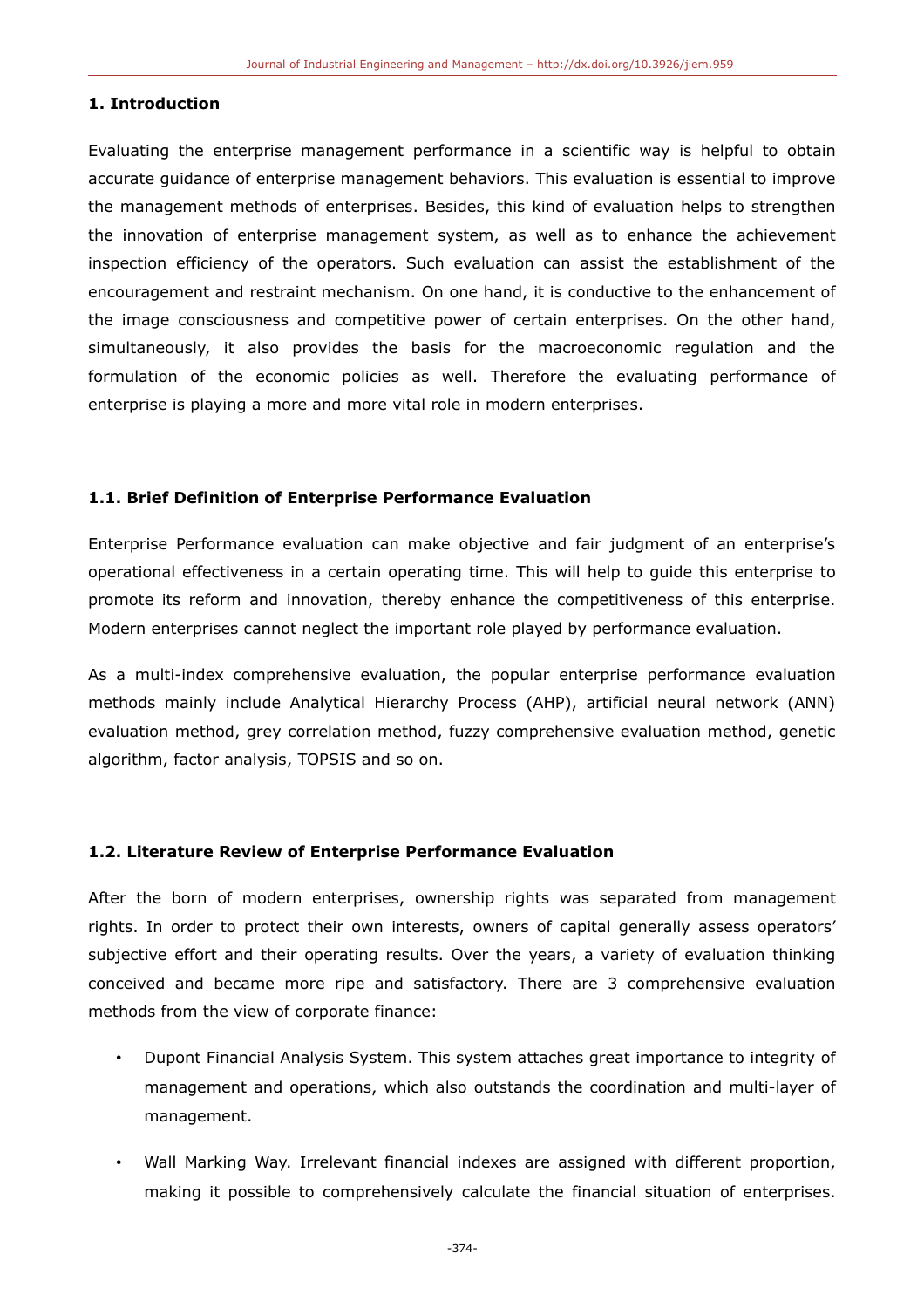## **1. Introduction**

Evaluating the enterprise management performance in a scientific way is helpful to obtain accurate guidance of enterprise management behaviors. This evaluation is essential to improve the management methods of enterprises. Besides, this kind of evaluation helps to strengthen the innovation of enterprise management system, as well as to enhance the achievement inspection efficiency of the operators. Such evaluation can assist the establishment of the encouragement and restraint mechanism. On one hand, it is conductive to the enhancement of the image consciousness and competitive power of certain enterprises. On the other hand, simultaneously, it also provides the basis for the macroeconomic regulation and the formulation of the economic policies as well. Therefore the evaluating performance of enterprise is playing a more and more vital role in modern enterprises.

# **1.1. Brief Definition of Enterprise Performance Evaluation**

Enterprise Performance evaluation can make objective and fair judgment of an enterprise's operational effectiveness in a certain operating time. This will help to guide this enterprise to promote its reform and innovation, thereby enhance the competitiveness of this enterprise. Modern enterprises cannot neglect the important role played by performance evaluation.

As a multi-index comprehensive evaluation, the popular enterprise performance evaluation methods mainly include Analytical Hierarchy Process (AHP), artificial neural network (ANN) evaluation method, grey correlation method, fuzzy comprehensive evaluation method, genetic algorithm, factor analysis, TOPSIS and so on.

## **1.2. Literature Review of Enterprise Performance Evaluation**

After the born of modern enterprises, ownership rights was separated from management rights. In order to protect their own interests, owners of capital generally assess operators' subjective effort and their operating results. Over the years, a variety of evaluation thinking conceived and became more ripe and satisfactory. There are 3 comprehensive evaluation methods from the view of corporate finance:

- Dupont Financial Analysis System. This system attaches great importance to integrity of management and operations, which also outstands the coordination and multi-layer of management.
- Wall Marking Way. Irrelevant financial indexes are assigned with different proportion, making it possible to comprehensively calculate the financial situation of enterprises.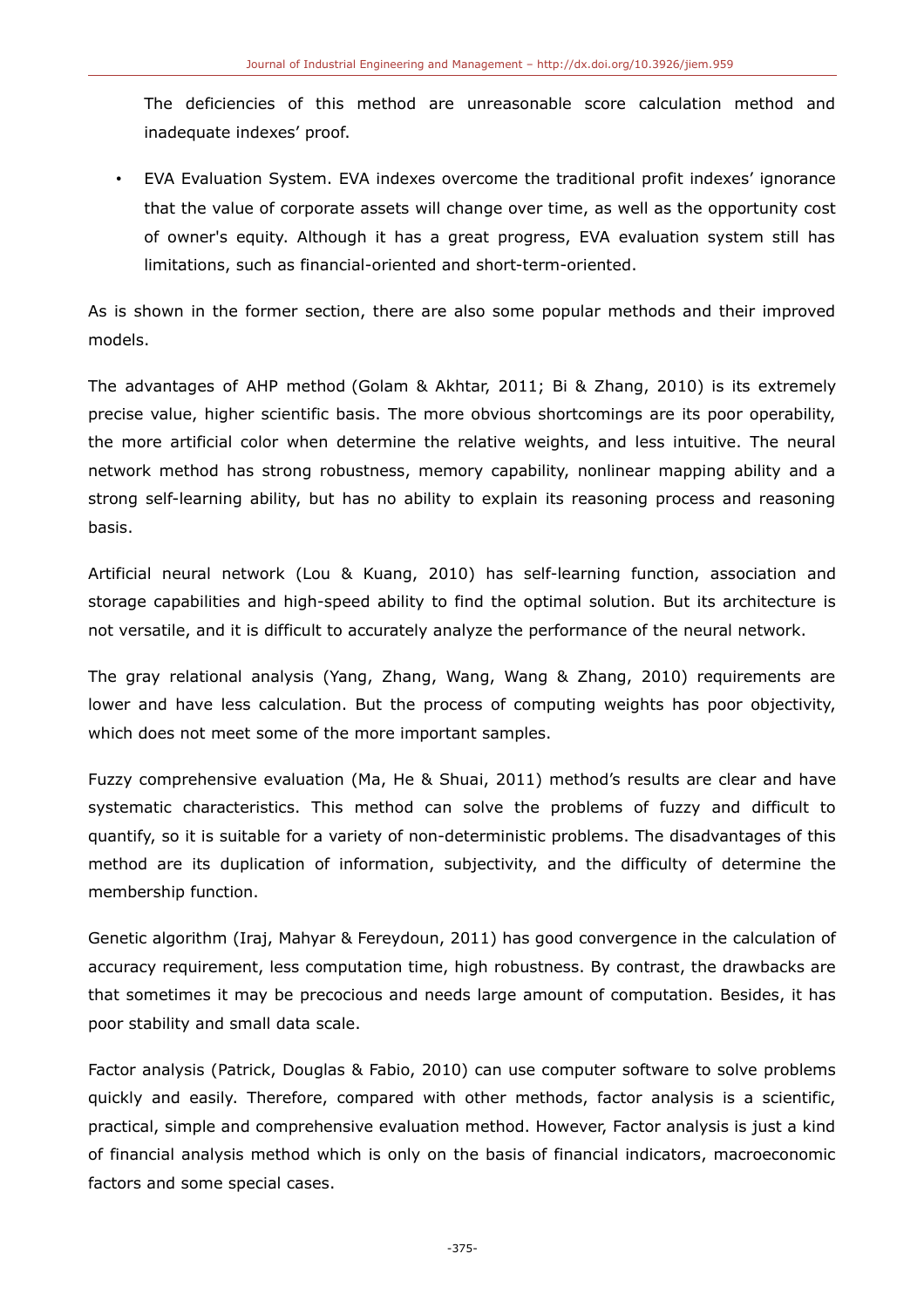The deficiencies of this method are unreasonable score calculation method and inadequate indexes' proof.

• EVA Evaluation System. EVA indexes overcome the traditional profit indexes' ignorance that the value of corporate assets will change over time, as well as the opportunity cost of owner's equity. Although it has a great progress, EVA evaluation system still has limitations, such as financial-oriented and short-term-oriented.

As is shown in the former section, there are also some popular methods and their improved models.

The advantages of AHP method (Golam & Akhtar, 2011; Bi & Zhang, 2010) is its extremely precise value, higher scientific basis. The more obvious shortcomings are its poor operability, the more artificial color when determine the relative weights, and less intuitive. The neural network method has strong robustness, memory capability, nonlinear mapping ability and a strong self-learning ability, but has no ability to explain its reasoning process and reasoning basis.

Artificial neural network (Lou & Kuang, 2010) has self-learning function, association and storage capabilities and high-speed ability to find the optimal solution. But its architecture is not versatile, and it is difficult to accurately analyze the performance of the neural network.

The gray relational analysis (Yang, Zhang, Wang, Wang & Zhang, 2010) requirements are lower and have less calculation. But the process of computing weights has poor objectivity, which does not meet some of the more important samples.

Fuzzy comprehensive evaluation (Ma, He & Shuai, 2011) method's results are clear and have systematic characteristics. This method can solve the problems of fuzzy and difficult to quantify, so it is suitable for a variety of non-deterministic problems. The disadvantages of this method are its duplication of information, subjectivity, and the difficulty of determine the membership function.

Genetic algorithm (Iraj, Mahyar & Fereydoun, 2011) has good convergence in the calculation of accuracy requirement, less computation time, high robustness. By contrast, the drawbacks are that sometimes it may be precocious and needs large amount of computation. Besides, it has poor stability and small data scale.

Factor analysis (Patrick, Douglas & Fabio, 2010) can use computer software to solve problems quickly and easily. Therefore, compared with other methods, factor analysis is a scientific, practical, simple and comprehensive evaluation method. However, Factor analysis is just a kind of financial analysis method which is only on the basis of financial indicators, macroeconomic factors and some special cases.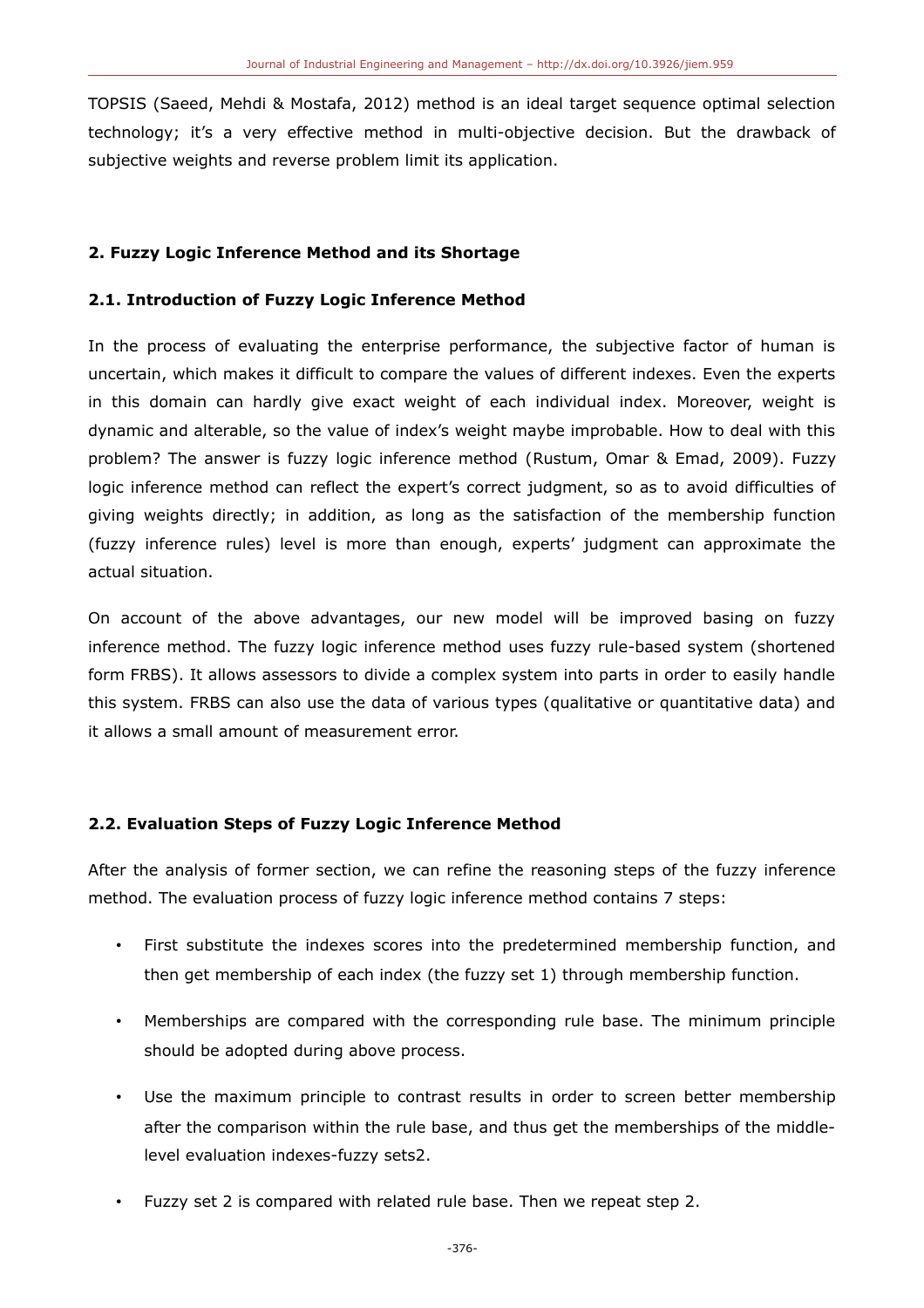TOPSIS (Saeed, Mehdi & Mostafa, 2012) method is an ideal target sequence optimal selection technology; it's a very effective method in multi-objective decision. But the drawback of subjective weights and reverse problem limit its application.

# **2. Fuzzy Logic Inference Method and its Shortage**

## **2.1. Introduction of Fuzzy Logic Inference Method**

In the process of evaluating the enterprise performance, the subjective factor of human is uncertain, which makes it difficult to compare the values of different indexes. Even the experts in this domain can hardly give exact weight of each individual index. Moreover, weight is dynamic and alterable, so the value of index's weight maybe improbable. How to deal with this problem? The answer is fuzzy logic inference method (Rustum, Omar & Emad, 2009). Fuzzy logic inference method can reflect the expert's correct judgment, so as to avoid difficulties of giving weights directly; in addition, as long as the satisfaction of the membership function (fuzzy inference rules) level is more than enough, experts' judgment can approximate the actual situation.

On account of the above advantages, our new model will be improved basing on fuzzy inference method. The fuzzy logic inference method uses fuzzy rule-based system (shortened form FRBS). It allows assessors to divide a complex system into parts in order to easily handle this system. FRBS can also use the data of various types (qualitative or quantitative data) and it allows a small amount of measurement error.

# **2.2. Evaluation Steps of Fuzzy Logic Inference Method**

After the analysis of former section, we can refine the reasoning steps of the fuzzy inference method. The evaluation process of fuzzy logic inference method contains 7 steps:

- First substitute the indexes scores into the predetermined membership function, and then get membership of each index (the fuzzy set 1) through membership function.
- Memberships are compared with the corresponding rule base. The minimum principle should be adopted during above process.
- Use the maximum principle to contrast results in order to screen better membership after the comparison within the rule base, and thus get the memberships of the middlelevel evaluation indexes-fuzzy sets2.
- Fuzzy set 2 is compared with related rule base. Then we repeat step 2.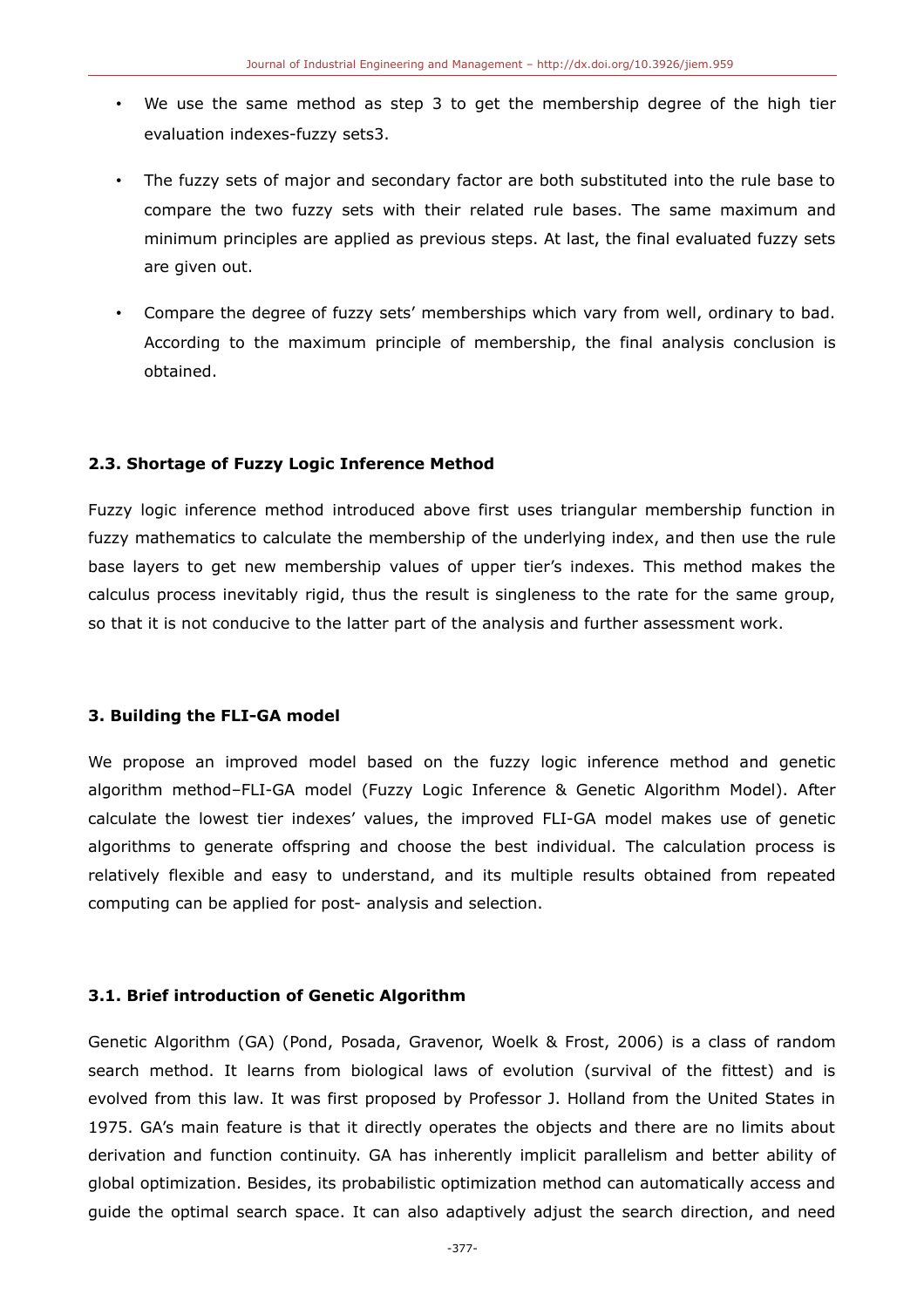- We use the same method as step 3 to get the membership degree of the high tier evaluation indexes-fuzzy sets3.
- The fuzzy sets of major and secondary factor are both substituted into the rule base to compare the two fuzzy sets with their related rule bases. The same maximum and minimum principles are applied as previous steps. At last, the final evaluated fuzzy sets are given out.
- Compare the degree of fuzzy sets' memberships which vary from well, ordinary to bad. According to the maximum principle of membership, the final analysis conclusion is obtained.

## **2.3. Shortage of Fuzzy Logic Inference Method**

Fuzzy logic inference method introduced above first uses triangular membership function in fuzzy mathematics to calculate the membership of the underlying index, and then use the rule base layers to get new membership values of upper tier's indexes. This method makes the calculus process inevitably rigid, thus the result is singleness to the rate for the same group, so that it is not conducive to the latter part of the analysis and further assessment work.

#### **3. Building the FLI-GA model**

We propose an improved model based on the fuzzy logic inference method and genetic algorithm method–FLI-GA model (Fuzzy Logic Inference & Genetic Algorithm Model). After calculate the lowest tier indexes' values, the improved FLI-GA model makes use of genetic algorithms to generate offspring and choose the best individual. The calculation process is relatively flexible and easy to understand, and its multiple results obtained from repeated computing can be applied for post- analysis and selection.

## **3.1. Brief introduction of Genetic Algorithm**

Genetic Algorithm (GA) (Pond, Posada, Gravenor, Woelk & Frost, 2006) is a class of random search method. It learns from biological laws of evolution (survival of the fittest) and is evolved from this law. It was first proposed by Professor J. Holland from the United States in 1975. GA's main feature is that it directly operates the objects and there are no limits about derivation and function continuity. GA has inherently implicit parallelism and better ability of global optimization. Besides, its probabilistic optimization method can automatically access and guide the optimal search space. It can also adaptively adjust the search direction, and need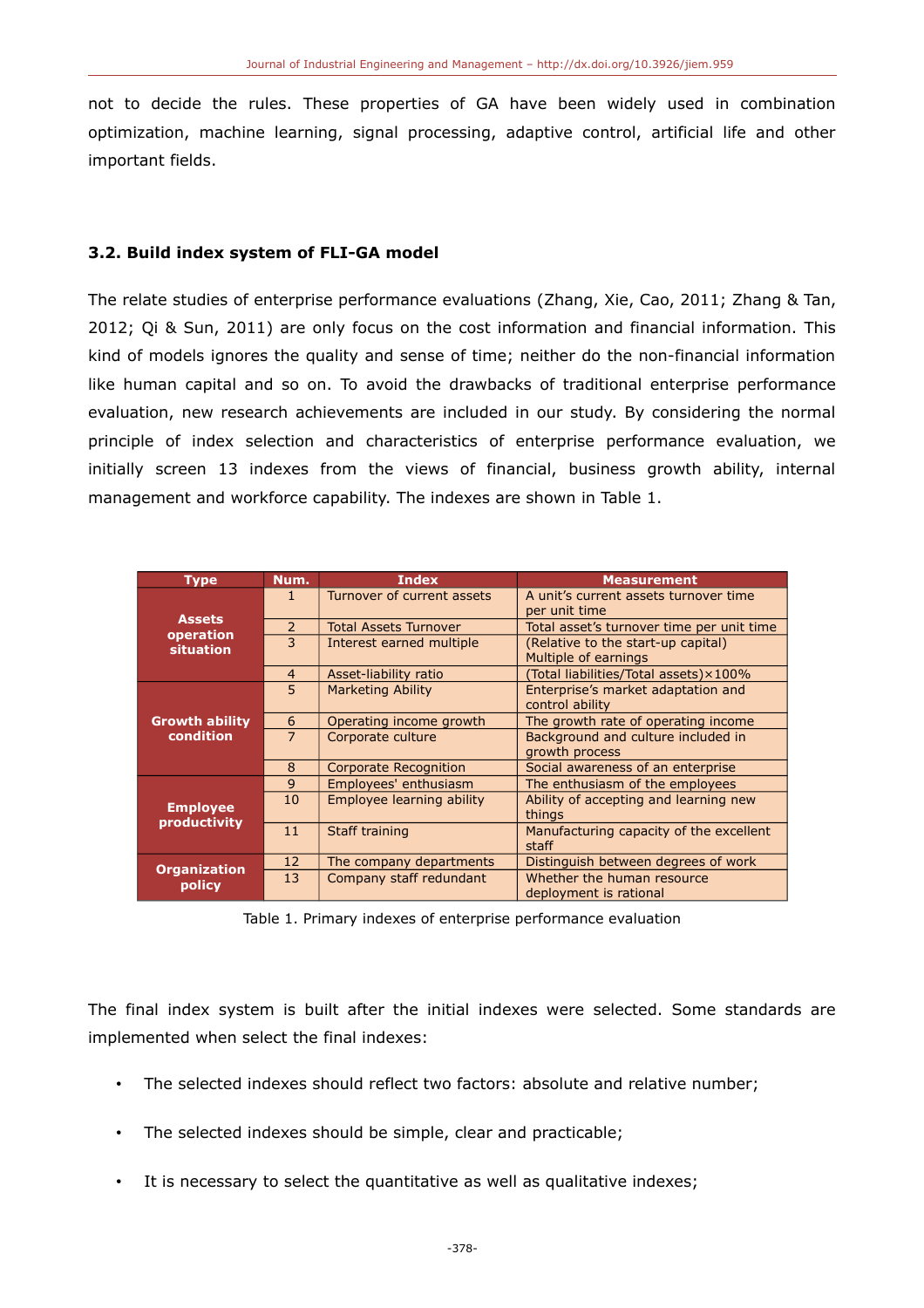not to decide the rules. These properties of GA have been widely used in combination optimization, machine learning, signal processing, adaptive control, artificial life and other important fields.

## **3.2. Build index system of FLI-GA model**

The relate studies of enterprise performance evaluations (Zhang, Xie, Cao, 2011; Zhang & Tan, 2012; Qi & Sun, 2011) are only focus on the cost information and financial information. This kind of models ignores the quality and sense of time; neither do the non-financial information like human capital and so on. To avoid the drawbacks of traditional enterprise performance evaluation, new research achievements are included in our study. By considering the normal principle of index selection and characteristics of enterprise performance evaluation, we initially screen 13 indexes from the views of financial, business growth ability, internal management and workforce capability. The indexes are shown in Table 1.

| <b>Type</b>                                    | Num.           | <b>Index</b>                     | <b>Measurement</b>                                         |  |
|------------------------------------------------|----------------|----------------------------------|------------------------------------------------------------|--|
| <b>Assets</b><br>operation<br><b>situation</b> | 1.             | Turnover of current assets       | A unit's current assets turnover time<br>per unit time     |  |
|                                                | 2              | <b>Total Assets Turnover</b>     | Total asset's turnover time per unit time                  |  |
|                                                | 3              | Interest earned multiple         | (Relative to the start-up capital)<br>Multiple of earnings |  |
|                                                | $\overline{4}$ | Asset-liability ratio            | (Total liabilities/Total assets) × 100%                    |  |
| <b>Growth ability</b><br>condition             | 5              | <b>Marketing Ability</b>         | Enterprise's market adaptation and<br>control ability      |  |
|                                                | 6              | Operating income growth          | The growth rate of operating income                        |  |
|                                                | $\overline{7}$ | Corporate culture                | Background and culture included in<br>growth process       |  |
|                                                | 8              | <b>Corporate Recognition</b>     | Social awareness of an enterprise                          |  |
| <b>Employee</b><br>productivity                | 9              | Employees' enthusiasm            | The enthusiasm of the employees                            |  |
|                                                | 10             | <b>Employee learning ability</b> | Ability of accepting and learning new<br>things            |  |
|                                                | 11             | Staff training                   | Manufacturing capacity of the excellent<br>staff           |  |
| <b>Organization</b><br>policy                  | 12             | The company departments          | Distinguish between degrees of work                        |  |
|                                                | 13             | Company staff redundant          | Whether the human resource<br>deployment is rational       |  |

Table 1. Primary indexes of enterprise performance evaluation

The final index system is built after the initial indexes were selected. Some standards are implemented when select the final indexes:

- The selected indexes should reflect two factors: absolute and relative number;
- The selected indexes should be simple, clear and practicable;
- It is necessary to select the quantitative as well as qualitative indexes;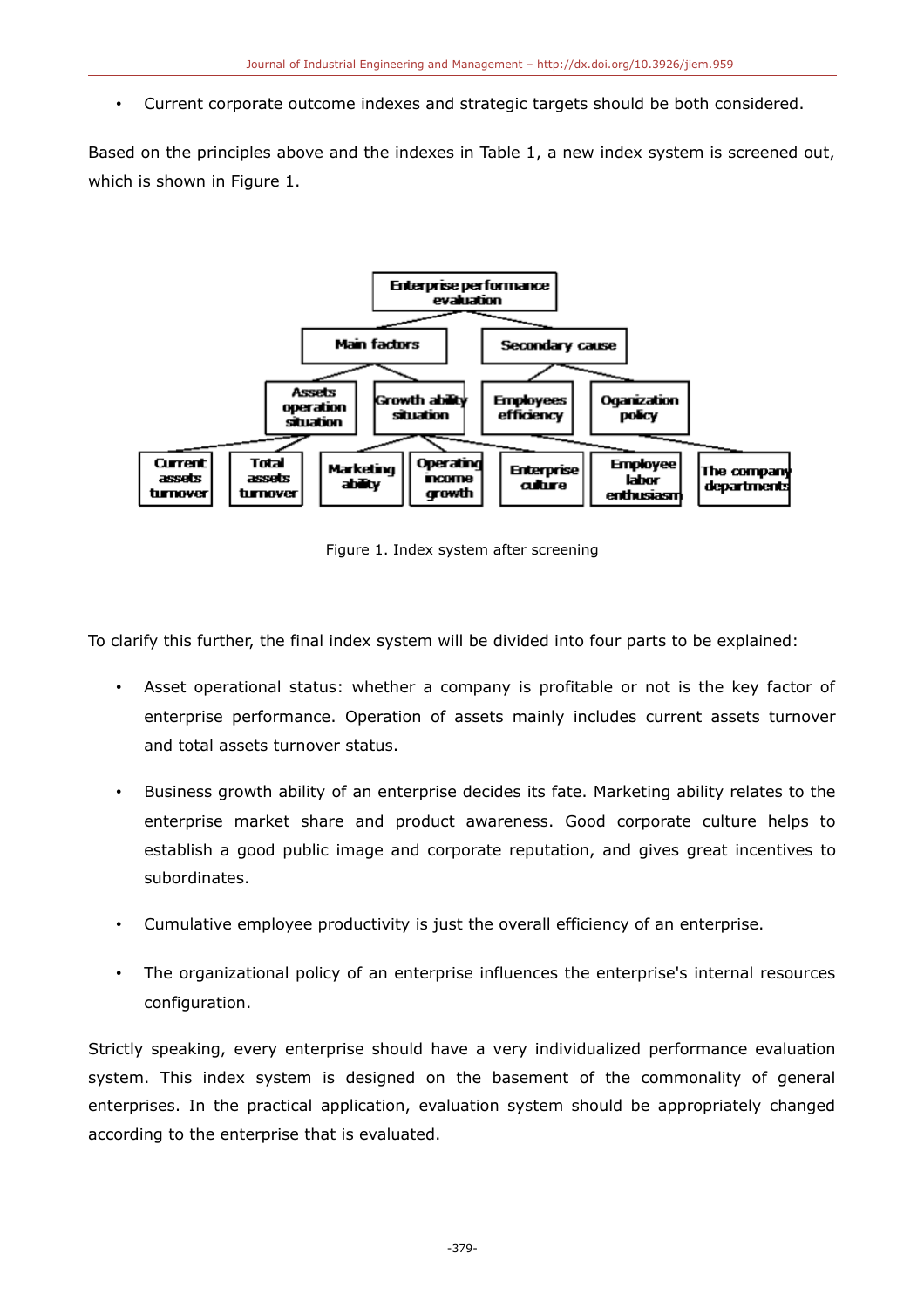• Current corporate outcome indexes and strategic targets should be both considered.

Based on the principles above and the indexes in Table 1, a new index system is screened out, which is shown in Figure 1.



Figure 1. Index system after screening

To clarify this further, the final index system will be divided into four parts to be explained:

- Asset operational status: whether a company is profitable or not is the key factor of enterprise performance. Operation of assets mainly includes current assets turnover and total assets turnover status.
- Business growth ability of an enterprise decides its fate. Marketing ability relates to the enterprise market share and product awareness. Good corporate culture helps to establish a good public image and corporate reputation, and gives great incentives to subordinates.
- Cumulative employee productivity is just the overall efficiency of an enterprise.
- The organizational policy of an enterprise influences the enterprise's internal resources configuration.

Strictly speaking, every enterprise should have a very individualized performance evaluation system. This index system is designed on the basement of the commonality of general enterprises. In the practical application, evaluation system should be appropriately changed according to the enterprise that is evaluated.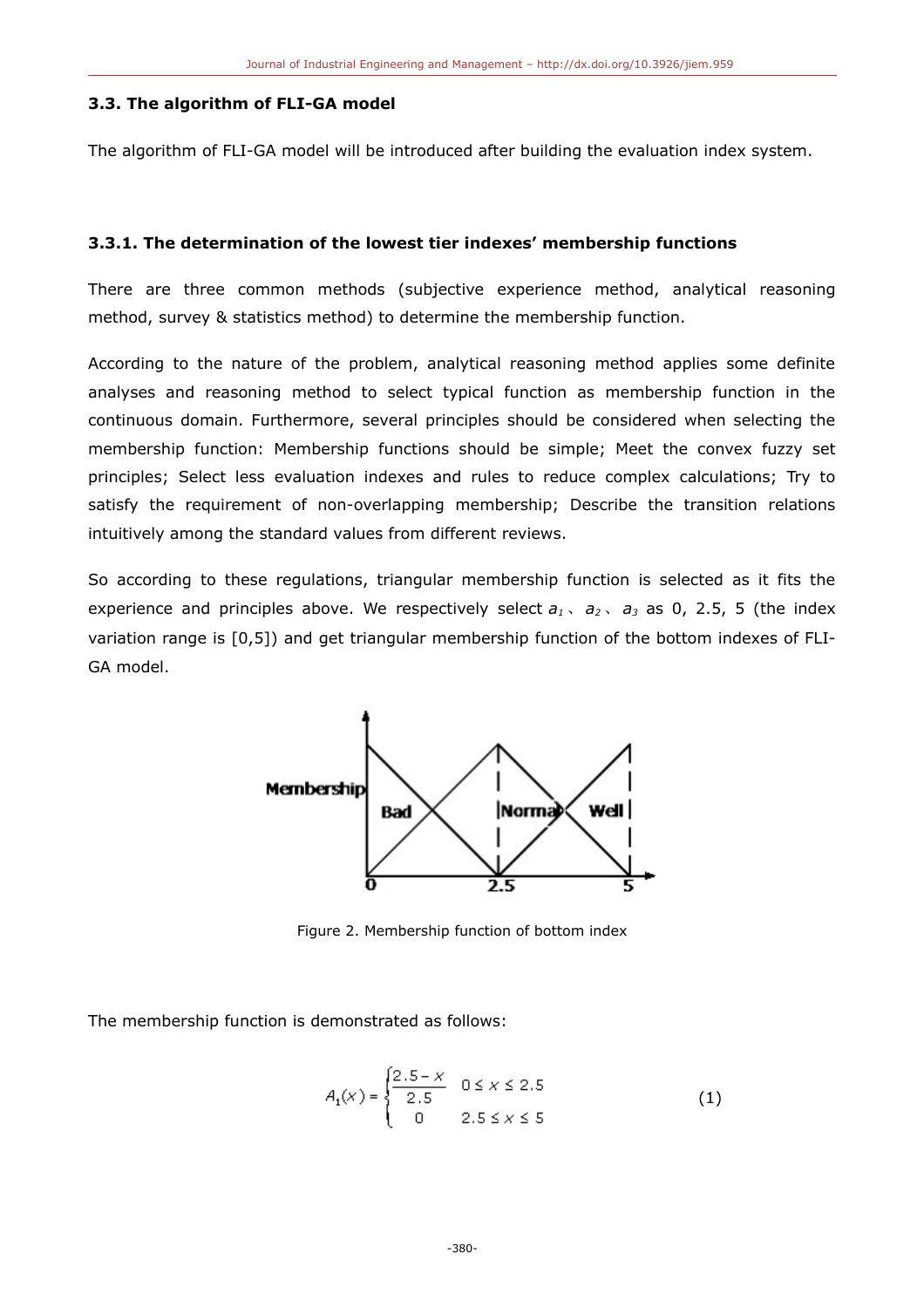## **3.3. The algorithm of FLI-GA model**

The algorithm of FLI-GA model will be introduced after building the evaluation index system.

#### **3.3.1. The determination of the lowest tier indexes' membership functions**

There are three common methods (subjective experience method, analytical reasoning method, survey & statistics method) to determine the membership function.

According to the nature of the problem, analytical reasoning method applies some definite analyses and reasoning method to select typical function as membership function in the continuous domain. Furthermore, several principles should be considered when selecting the membership function: Membership functions should be simple; Meet the convex fuzzy set principles; Select less evaluation indexes and rules to reduce complex calculations; Try to satisfy the requirement of non-overlapping membership; Describe the transition relations intuitively among the standard values from different reviews.

So according to these regulations, triangular membership function is selected as it fits the experience and principles above. We respectively select  $a_1$ ,  $a_2$ ,  $a_3$  as 0, 2.5, 5 (the index variation range is [0,5]) and get triangular membership function of the bottom indexes of FLI-GA model.



Figure 2. Membership function of bottom index

The membership function is demonstrated as follows:

$$
A_1(x) = \begin{cases} \frac{2.5 - x}{2.5} & 0 \le x \le 2.5\\ 0 & 2.5 \le x \le 5 \end{cases}
$$
 (1)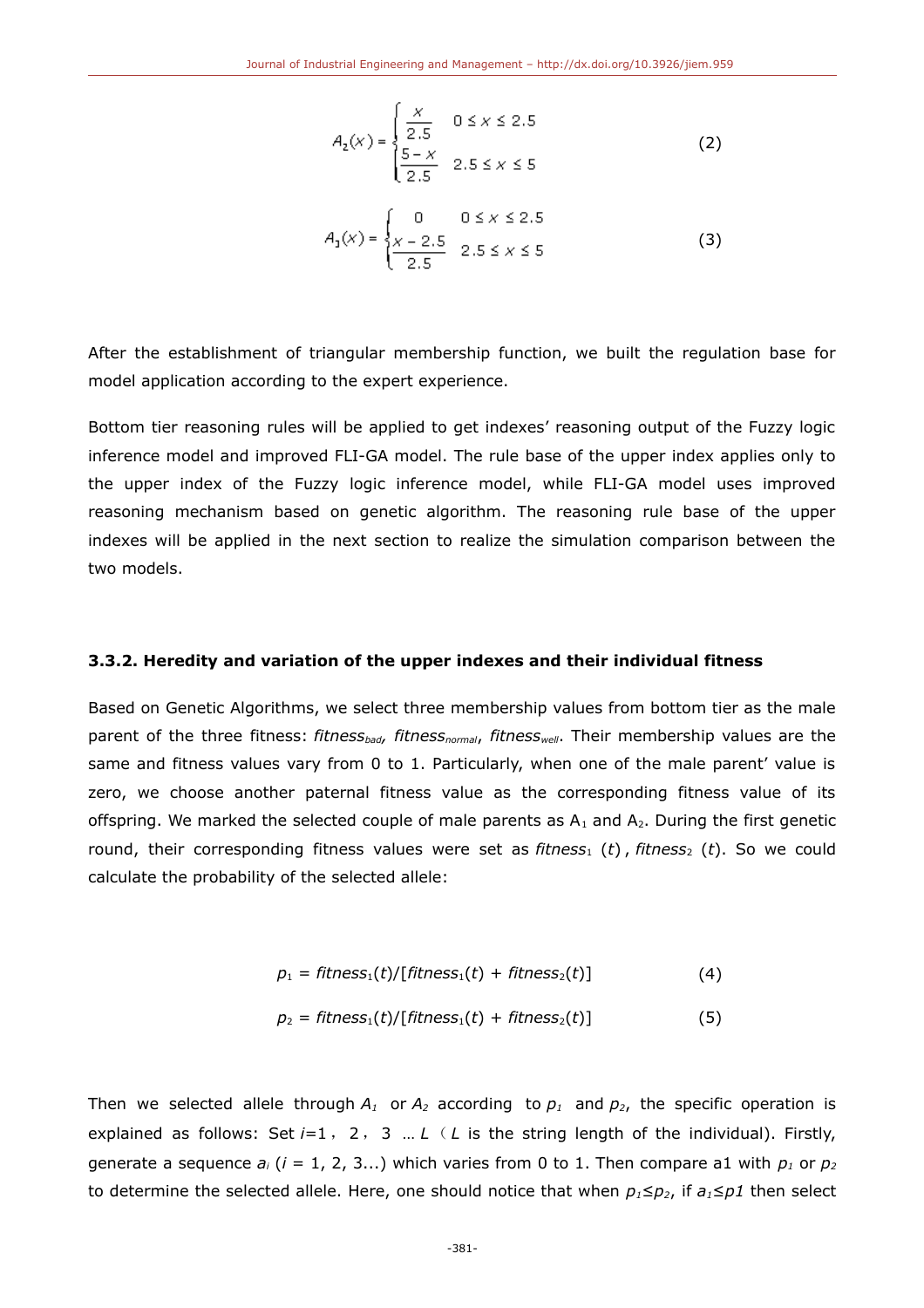$$
A_2(x) = \begin{cases} \frac{x}{2.5} & 0 \le x \le 2.5\\ \frac{5-x}{2.5} & 2.5 \le x \le 5 \end{cases}
$$
 (2)

$$
A_1(x) = \begin{cases} 0 & 0 \le x \le 2.5 \\ \frac{x - 2.5}{2.5} & 2.5 \le x \le 5 \end{cases}
$$
 (3)

After the establishment of triangular membership function, we built the regulation base for model application according to the expert experience.

Bottom tier reasoning rules will be applied to get indexes' reasoning output of the Fuzzy logic inference model and improved FLI-GA model. The rule base of the upper index applies only to the upper index of the Fuzzy logic inference model, while FLI-GA model uses improved reasoning mechanism based on genetic algorithm. The reasoning rule base of the upper indexes will be applied in the next section to realize the simulation comparison between the two models.

#### **3.3.2. Heredity and variation of the upper indexes and their individual fitness**

Based on Genetic Algorithms, we select three membership values from bottom tier as the male parent of the three fitness: *fitnessbad, fitnessnormal*, *fitnesswell*. Their membership values are the same and fitness values vary from 0 to 1. Particularly, when one of the male parent' value is zero, we choose another paternal fitness value as the corresponding fitness value of its offspring. We marked the selected couple of male parents as  $A_1$  and  $A_2$ . During the first genetic round, their corresponding fitness values were set as *fitness*<sub>1</sub> (*t*), *fitness*<sub>2</sub> (*t*). So we could calculate the probability of the selected allele:

$$
p_1 = fitness_1(t)/[fitness_1(t) + fitness_2(t)] \qquad (4)
$$

$$
p_2 = fitness_1(t)/[fitness_1(t) + fitness_2(t)] \qquad (5)
$$

Then we selected allele through  $A_1$  or  $A_2$  according to  $p_1$  and  $p_2$ , the specific operation is explained as follows: Set *i*=1, 2, 3 ... *L* (*L* is the string length of the individual). Firstly, generate a sequence  $a_i$  ( $i = 1, 2, 3...$ ) which varies from 0 to 1. Then compare a1 with  $p_i$  or  $p_2$ to determine the selected allele. Here, one should notice that when  $p_1 \leq p_2$ , if  $a_1 \leq p1$  then select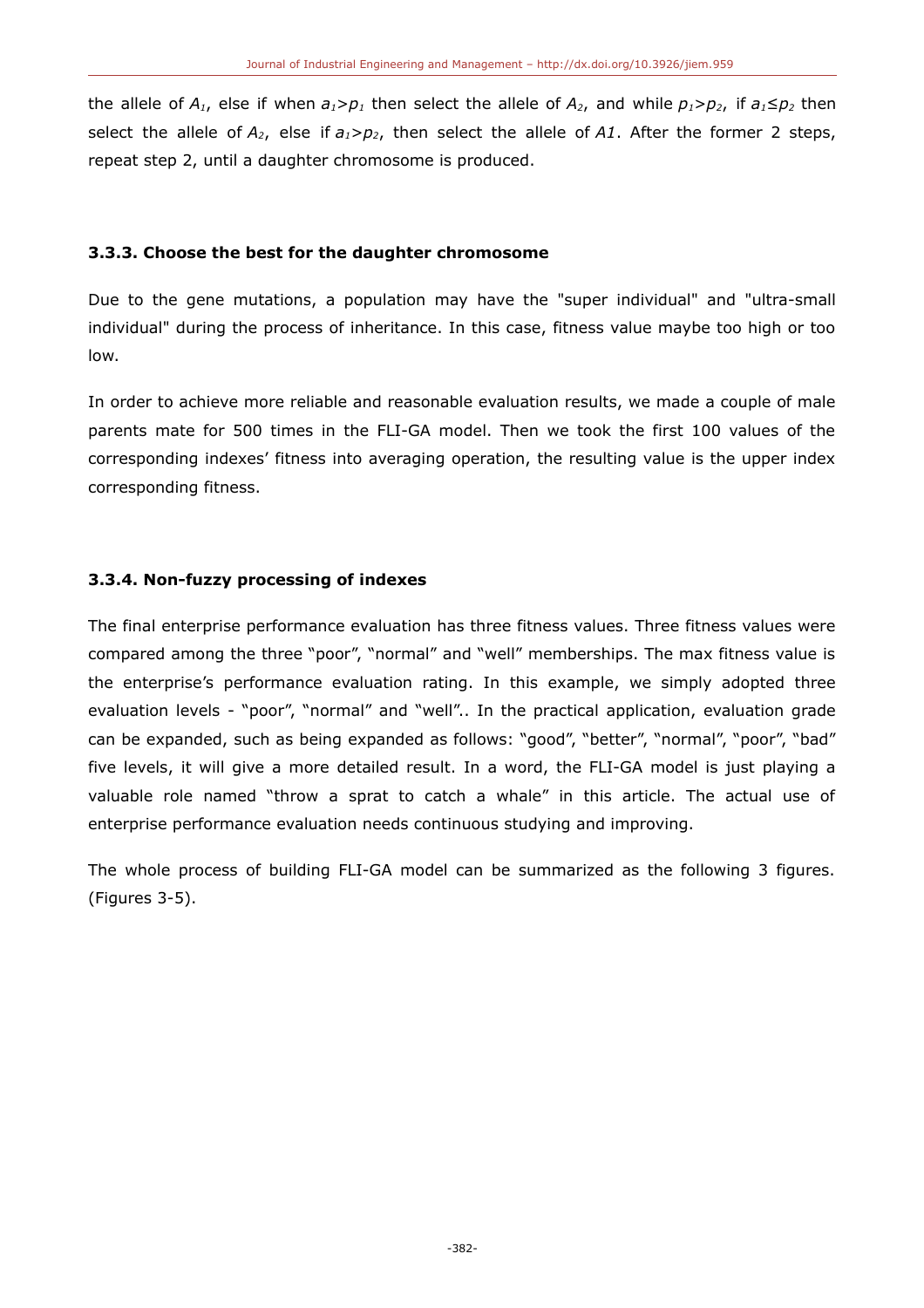the allele of  $A_1$ , else if when  $a_1 > p_1$  then select the allele of  $A_2$ , and while  $p_1 > p_2$ , if  $a_1 \leq p_2$  then select the allele of  $A_2$ , else if  $a_1 > p_2$ , then select the allele of A1. After the former 2 steps, repeat step 2, until a daughter chromosome is produced.

## **3.3.3. Choose the best for the daughter chromosome**

Due to the gene mutations, a population may have the "super individual" and "ultra-small individual" during the process of inheritance. In this case, fitness value maybe too high or too low.

In order to achieve more reliable and reasonable evaluation results, we made a couple of male parents mate for 500 times in the FLI-GA model. Then we took the first 100 values of the corresponding indexes' fitness into averaging operation, the resulting value is the upper index corresponding fitness.

## **3.3.4. Non-fuzzy processing of indexes**

The final enterprise performance evaluation has three fitness values. Three fitness values were compared among the three "poor", "normal" and "well" memberships. The max fitness value is the enterprise's performance evaluation rating. In this example, we simply adopted three evaluation levels - "poor", "normal" and "well".. In the practical application, evaluation grade can be expanded, such as being expanded as follows: "good", "better", "normal", "poor", "bad" five levels, it will give a more detailed result. In a word, the FLI-GA model is just playing a valuable role named "throw a sprat to catch a whale" in this article. The actual use of enterprise performance evaluation needs continuous studying and improving.

The whole process of building FLI-GA model can be summarized as the following 3 figures. (Figures 3-5).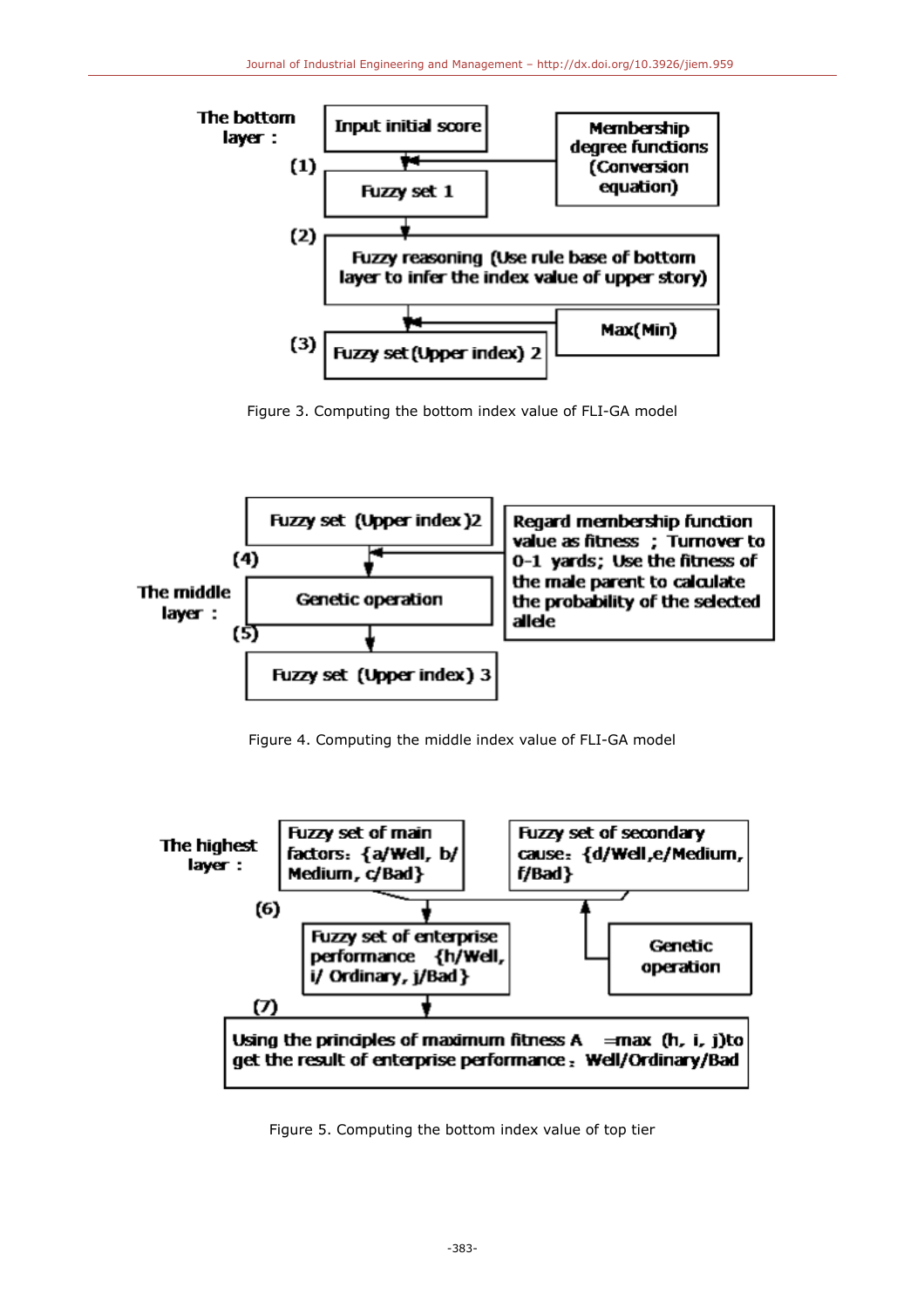

Figure 3. Computing the bottom index value of FLI-GA model



Figure 4. Computing the middle index value of FLI-GA model



Figure 5. Computing the bottom index value of top tier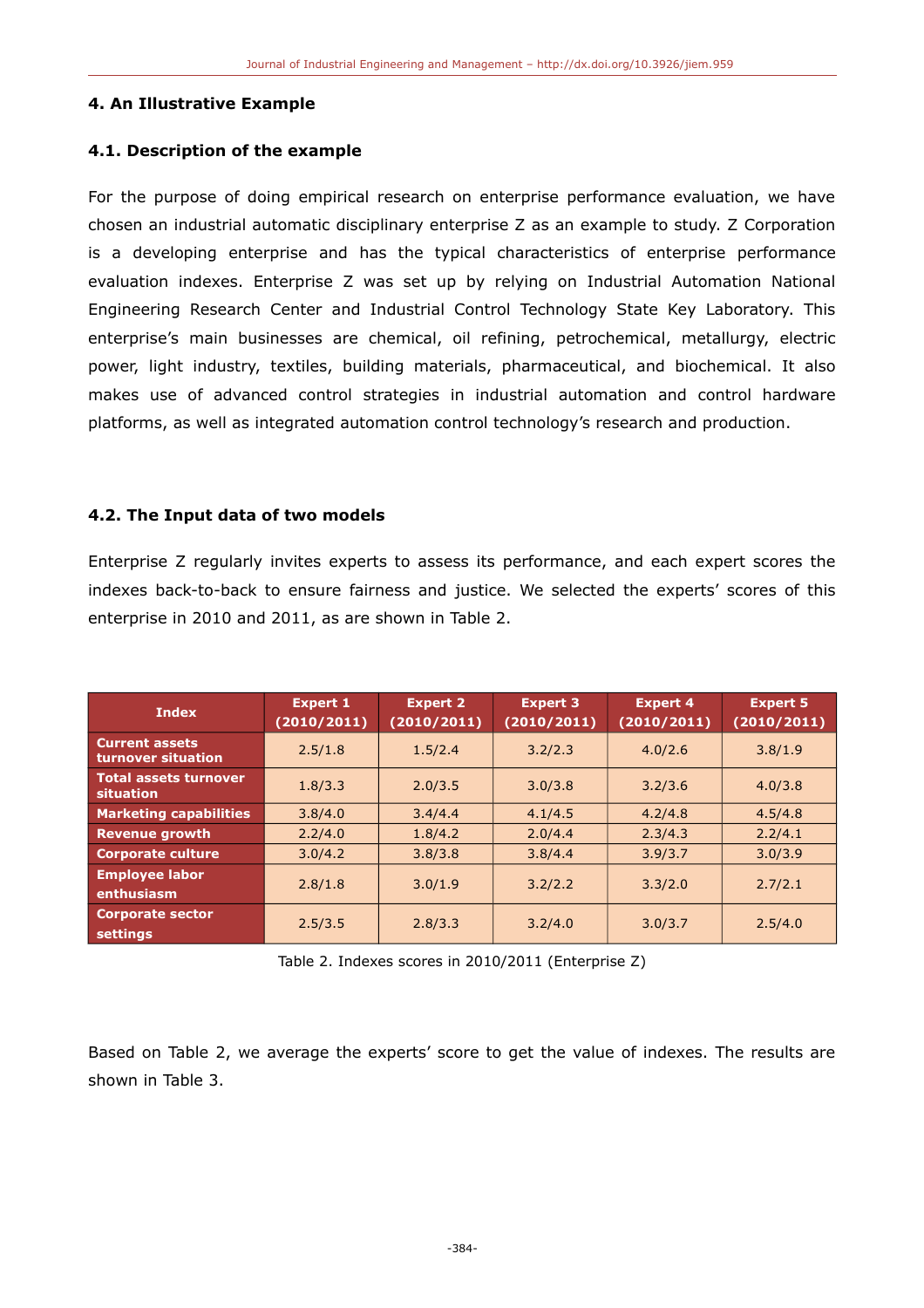## **4. An Illustrative Example**

# **4.1. Description of the example**

For the purpose of doing empirical research on enterprise performance evaluation, we have chosen an industrial automatic disciplinary enterprise Z as an example to study. Z Corporation is a developing enterprise and has the typical characteristics of enterprise performance evaluation indexes. Enterprise Z was set up by relying on Industrial Automation National Engineering Research Center and Industrial Control Technology State Key Laboratory. This enterprise's main businesses are chemical, oil refining, petrochemical, metallurgy, electric power, light industry, textiles, building materials, pharmaceutical, and biochemical. It also makes use of advanced control strategies in industrial automation and control hardware platforms, as well as integrated automation control technology's research and production.

# **4.2. The Input data of two models**

Enterprise Z regularly invites experts to assess its performance, and each expert scores the indexes back-to-back to ensure fairness and justice. We selected the experts' scores of this enterprise in 2010 and 2011, as are shown in Table 2.

| <b>Index</b>                                | <b>Expert 1</b><br>(2010/2011) | <b>Expert 2</b><br>(2010/2011) | <b>Expert 3</b><br>(2010/2011) | <b>Expert 4</b><br>(2010/2011) | <b>Expert 5</b><br>(2010/2011) |
|---------------------------------------------|--------------------------------|--------------------------------|--------------------------------|--------------------------------|--------------------------------|
| <b>Current assets</b><br>turnover situation | 2.5/1.8                        | 1.5/2.4                        | 3.2/2.3                        | 4.0/2.6                        | 3.8/1.9                        |
| Total assets turnover<br>situation          | 1.8/3.3                        | 2.0/3.5                        | 3.0/3.8                        | 3.2/3.6                        | 4.0/3.8                        |
| <b>Marketing capabilities</b>               | 3.8/4.0                        | 3.4/4.4                        | 4.1/4.5                        | 4.2/4.8                        | 4.5/4.8                        |
| <b>Revenue growth</b>                       | 2.2/4.0                        | 1.8/4.2                        | 2.0/4.4                        | 2.3/4.3                        | 2.2/4.1                        |
| <b>Corporate culture</b>                    | 3.0/4.2                        | 3.8/3.8                        | 3.8/4.4                        | 3.9/3.7                        | 3.0/3.9                        |
| <b>Employee labor</b><br>enthusiasm         | 2.8/1.8                        | 3.0/1.9                        | 3.2/2.2                        | 3.3/2.0                        | 2.7/2.1                        |
| <b>Corporate sector</b><br>settings         | 2.5/3.5                        | 2.8/3.3                        | 3.2/4.0                        | 3.0/3.7                        | 2.5/4.0                        |

Table 2. Indexes scores in 2010/2011 (Enterprise Z)

Based on Table 2, we average the experts' score to get the value of indexes. The results are shown in Table 3.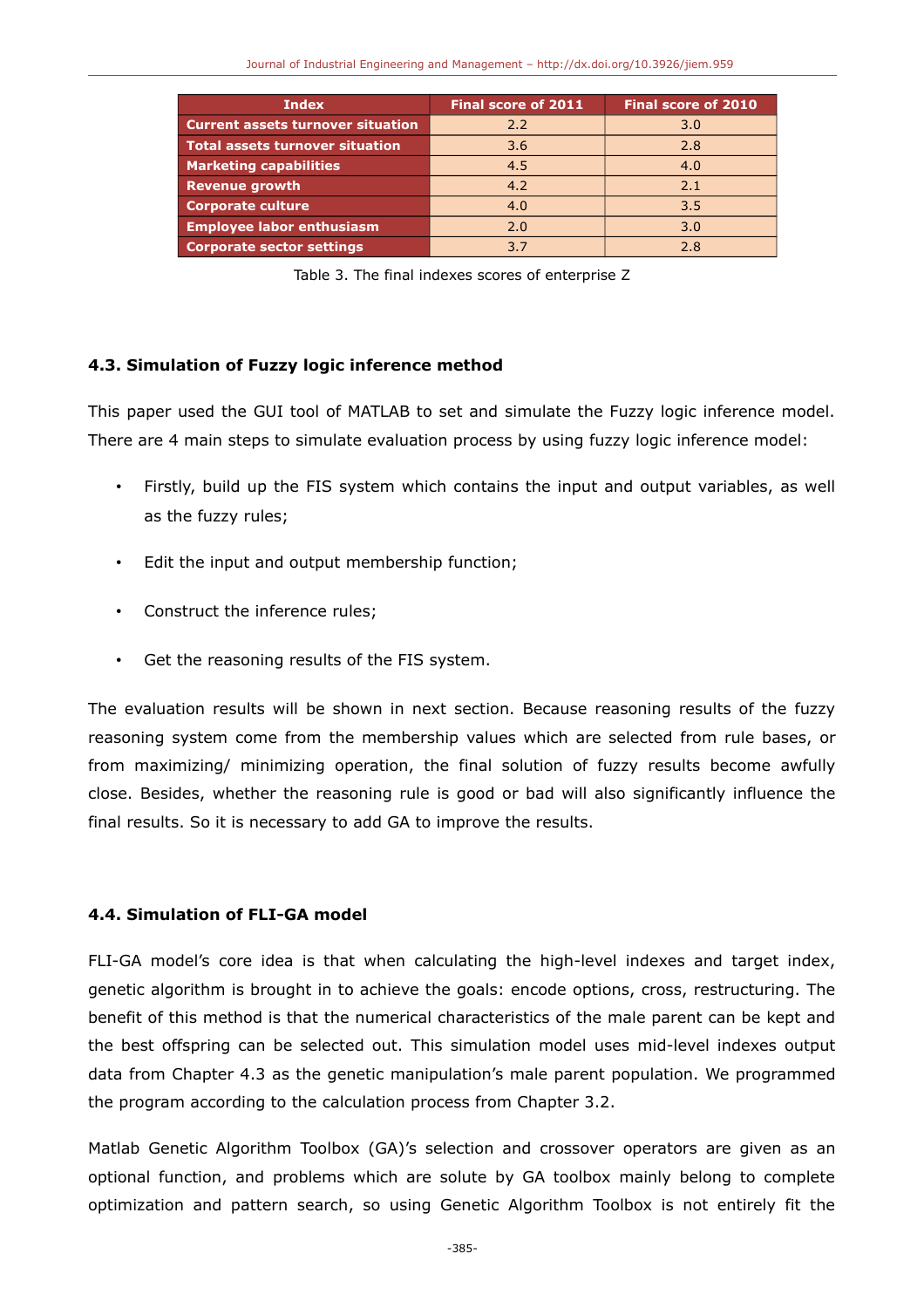| <b>Index</b>                             | <b>Final score of 2011</b> | <b>Final score of 2010</b> |
|------------------------------------------|----------------------------|----------------------------|
| <b>Current assets turnover situation</b> | 2.2                        | 3.0                        |
| <b>Total assets turnover situation</b>   | 3.6                        | 2.8                        |
| <b>Marketing capabilities</b>            | 4.5                        | 4.0                        |
| <b>Revenue growth</b>                    | 4.2                        | 2.1                        |
| <b>Corporate culture</b>                 | 4.0                        | 3.5                        |
| <b>Employee labor enthusiasm</b>         | 2.0                        | 3.0                        |
| <b>Corporate sector settings</b>         | 3.7                        | 2.8                        |

Table 3. The final indexes scores of enterprise Z

# **4.3. Simulation of Fuzzy logic inference method**

This paper used the GUI tool of MATLAB to set and simulate the Fuzzy logic inference model. There are 4 main steps to simulate evaluation process by using fuzzy logic inference model:

- Firstly, build up the FIS system which contains the input and output variables, as well as the fuzzy rules;
- Edit the input and output membership function;
- Construct the inference rules;
- Get the reasoning results of the FIS system.

The evaluation results will be shown in next section. Because reasoning results of the fuzzy reasoning system come from the membership values which are selected from rule bases, or from maximizing/ minimizing operation, the final solution of fuzzy results become awfully close. Besides, whether the reasoning rule is good or bad will also significantly influence the final results. So it is necessary to add GA to improve the results.

## **4.4. Simulation of FLI-GA model**

FLI-GA model's core idea is that when calculating the high-level indexes and target index, genetic algorithm is brought in to achieve the goals: encode options, cross, restructuring. The benefit of this method is that the numerical characteristics of the male parent can be kept and the best offspring can be selected out. This simulation model uses mid-level indexes output data from Chapter 4.3 as the genetic manipulation's male parent population. We programmed the program according to the calculation process from Chapter 3.2.

Matlab Genetic Algorithm Toolbox (GA)'s selection and crossover operators are given as an optional function, and problems which are solute by GA toolbox mainly belong to complete optimization and pattern search, so using Genetic Algorithm Toolbox is not entirely fit the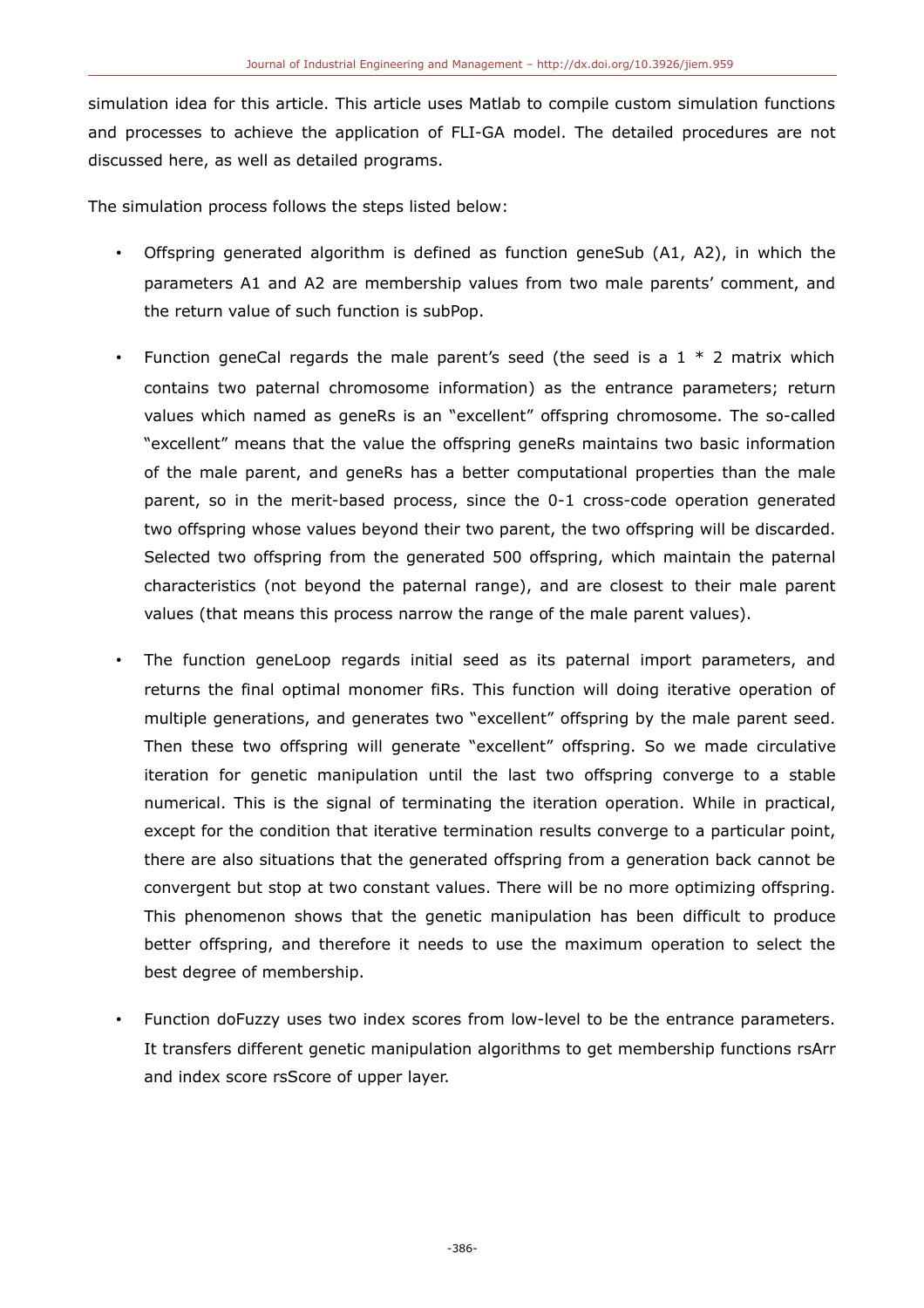simulation idea for this article. This article uses Matlab to compile custom simulation functions and processes to achieve the application of FLI-GA model. The detailed procedures are not discussed here, as well as detailed programs.

The simulation process follows the steps listed below:

- Offspring generated algorithm is defined as function geneSub (A1, A2), in which the parameters A1 and A2 are membership values from two male parents' comment, and the return value of such function is subPop.
- Function geneCal regards the male parent's seed (the seed is a  $1 * 2$  matrix which contains two paternal chromosome information) as the entrance parameters; return values which named as geneRs is an "excellent" offspring chromosome. The so-called "excellent" means that the value the offspring geneRs maintains two basic information of the male parent, and geneRs has a better computational properties than the male parent, so in the merit-based process, since the 0-1 cross-code operation generated two offspring whose values beyond their two parent, the two offspring will be discarded. Selected two offspring from the generated 500 offspring, which maintain the paternal characteristics (not beyond the paternal range), and are closest to their male parent values (that means this process narrow the range of the male parent values).
- The function geneLoop regards initial seed as its paternal import parameters, and returns the final optimal monomer fiRs. This function will doing iterative operation of multiple generations, and generates two "excellent" offspring by the male parent seed. Then these two offspring will generate "excellent" offspring. So we made circulative iteration for genetic manipulation until the last two offspring converge to a stable numerical. This is the signal of terminating the iteration operation. While in practical, except for the condition that iterative termination results converge to a particular point, there are also situations that the generated offspring from a generation back cannot be convergent but stop at two constant values. There will be no more optimizing offspring. This phenomenon shows that the genetic manipulation has been difficult to produce better offspring, and therefore it needs to use the maximum operation to select the best degree of membership.
- Function doFuzzy uses two index scores from low-level to be the entrance parameters. It transfers different genetic manipulation algorithms to get membership functions rsArr and index score rsScore of upper layer.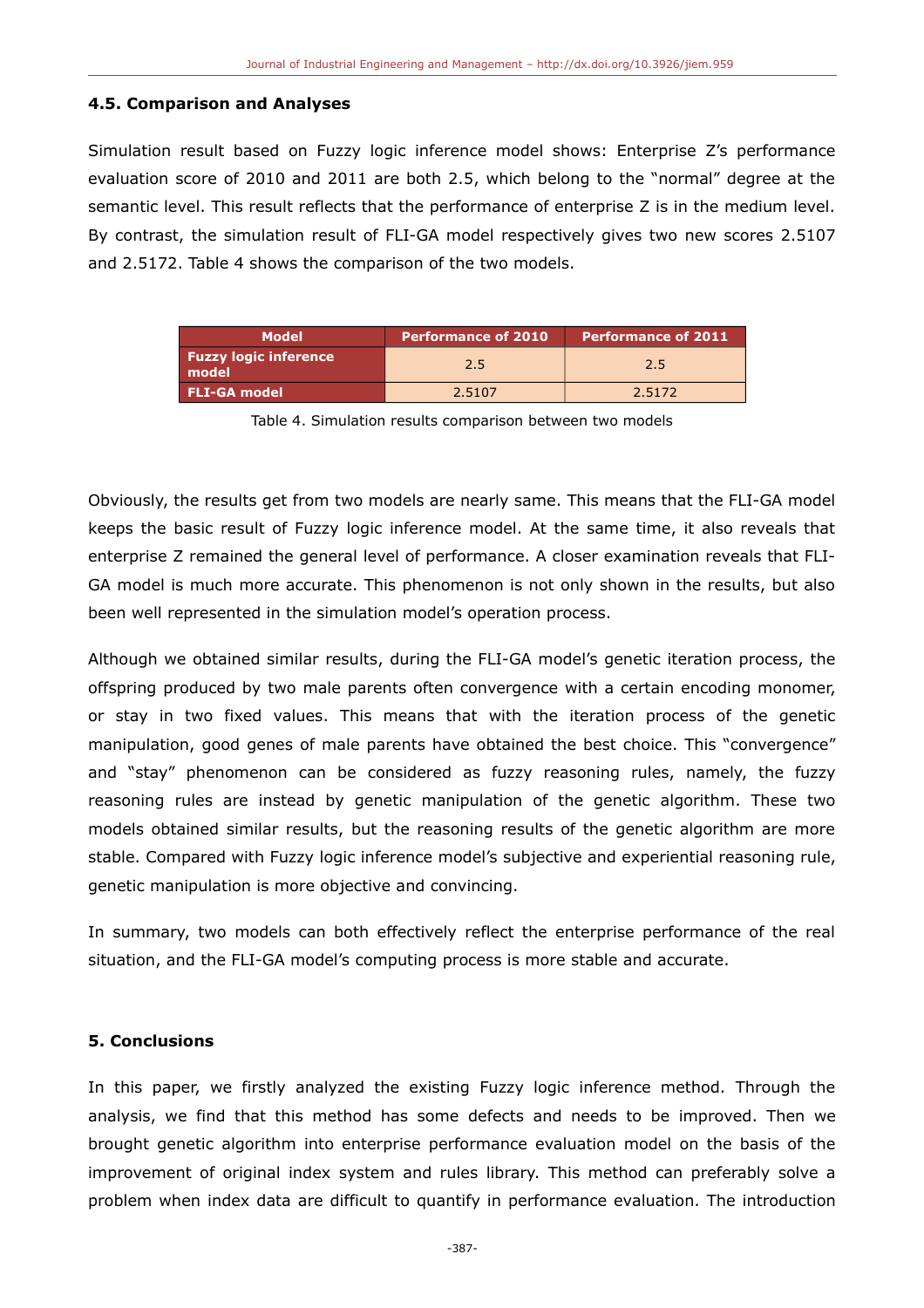## **4.5. Comparison and Analyses**

Simulation result based on Fuzzy logic inference model shows: Enterprise Z's performance evaluation score of 2010 and 2011 are both 2.5, which belong to the "normal" degree at the semantic level. This result reflects that the performance of enterprise Z is in the medium level. By contrast, the simulation result of FLI-GA model respectively gives two new scores 2.5107 and 2.5172. Table 4 shows the comparison of the two models.

| <b>Model</b>                          | <b>Performance of 2010</b> | <b>Performance of 2011</b> |  |
|---------------------------------------|----------------------------|----------------------------|--|
| <b>Fuzzy logic inference</b><br>model | 2.5                        | 2.5                        |  |
| <b>FLI-GA model</b>                   | 2.5107                     | 25172                      |  |

Table 4. Simulation results comparison between two models

Obviously, the results get from two models are nearly same. This means that the FLI-GA model keeps the basic result of Fuzzy logic inference model. At the same time, it also reveals that enterprise Z remained the general level of performance. A closer examination reveals that FLI-GA model is much more accurate. This phenomenon is not only shown in the results, but also been well represented in the simulation model's operation process.

Although we obtained similar results, during the FLI-GA model's genetic iteration process, the offspring produced by two male parents often convergence with a certain encoding monomer, or stay in two fixed values. This means that with the iteration process of the genetic manipulation, good genes of male parents have obtained the best choice. This "convergence" and "stay" phenomenon can be considered as fuzzy reasoning rules, namely, the fuzzy reasoning rules are instead by genetic manipulation of the genetic algorithm. These two models obtained similar results, but the reasoning results of the genetic algorithm are more stable. Compared with Fuzzy logic inference model's subjective and experiential reasoning rule, genetic manipulation is more objective and convincing.

In summary, two models can both effectively reflect the enterprise performance of the real situation, and the FLI-GA model's computing process is more stable and accurate.

## **5. Conclusions**

In this paper, we firstly analyzed the existing Fuzzy logic inference method. Through the analysis, we find that this method has some defects and needs to be improved. Then we brought genetic algorithm into enterprise performance evaluation model on the basis of the improvement of original index system and rules library. This method can preferably solve a problem when index data are difficult to quantify in performance evaluation. The introduction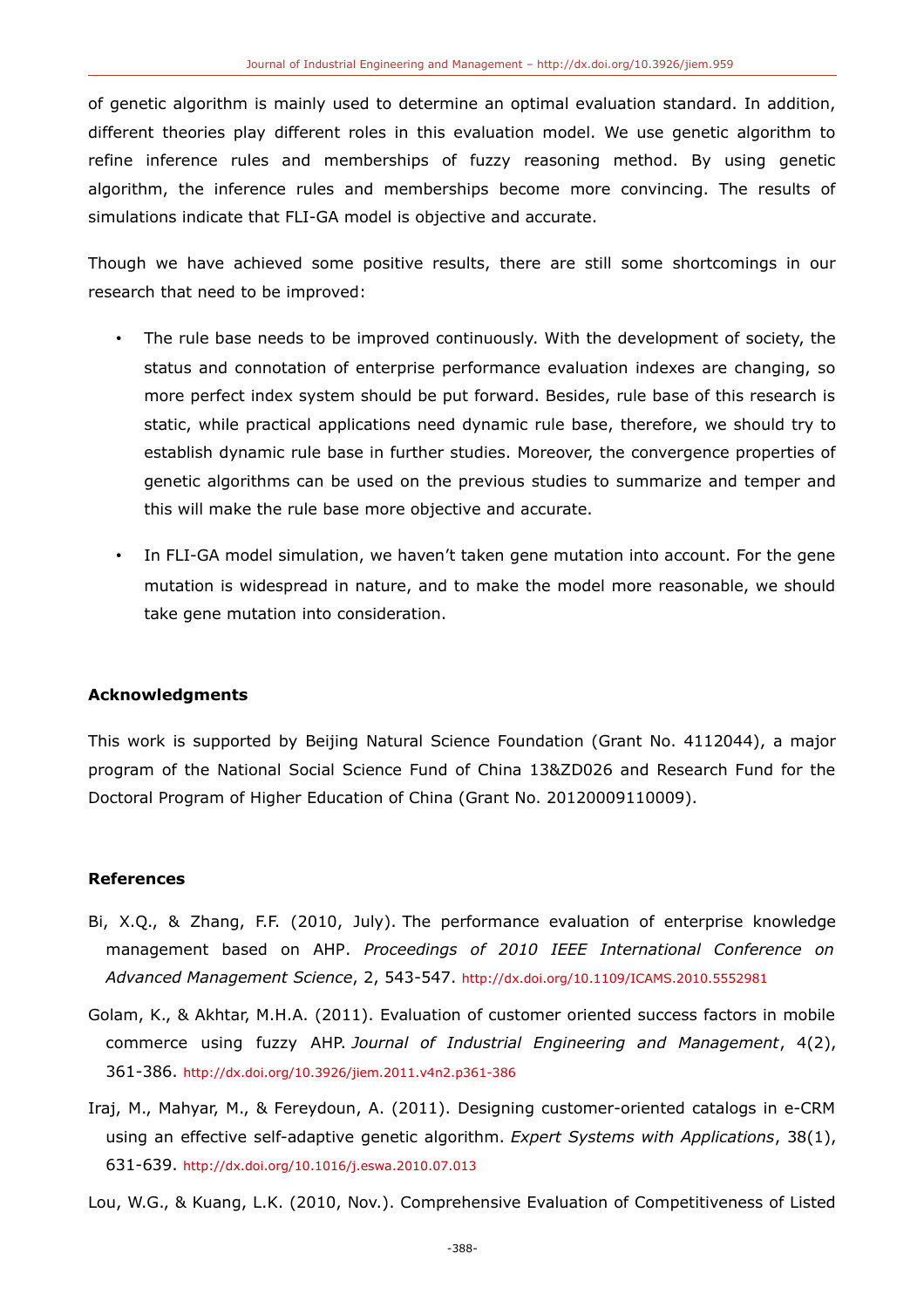of genetic algorithm is mainly used to determine an optimal evaluation standard. In addition, different theories play different roles in this evaluation model. We use genetic algorithm to refine inference rules and memberships of fuzzy reasoning method. By using genetic algorithm, the inference rules and memberships become more convincing. The results of simulations indicate that FLI-GA model is objective and accurate.

Though we have achieved some positive results, there are still some shortcomings in our research that need to be improved:

- The rule base needs to be improved continuously. With the development of society, the status and connotation of enterprise performance evaluation indexes are changing, so more perfect index system should be put forward. Besides, rule base of this research is static, while practical applications need dynamic rule base, therefore, we should try to establish dynamic rule base in further studies. Moreover, the convergence properties of genetic algorithms can be used on the previous studies to summarize and temper and this will make the rule base more objective and accurate.
- In FLI-GA model simulation, we haven't taken gene mutation into account. For the gene mutation is widespread in nature, and to make the model more reasonable, we should take gene mutation into consideration.

## **Acknowledgments**

This work is supported by Beijing Natural Science Foundation (Grant No. 4112044), a major program of the National Social Science Fund of China 13&ZD026 and Research Fund for the Doctoral Program of Higher Education of China (Grant No. 20120009110009).

#### **References**

- Bi, X.Q., & Zhang, F.F. (2010, July). The performance evaluation of enterprise knowledge management based on AHP. *Proceedings of 2010 IEEE International Conference on Advanced Management Science*, 2, 543-547. <http://dx.doi.org/10.1109/ICAMS.2010.5552981>
- Golam, K., & Akhtar, M.H.A. (2011). Evaluation of customer oriented success factors in mobile commerce using fuzzy AHP. *Journal of Industrial Engineering and Management*, 4(2), 361-386. <http://dx.doi.org/10.3926/jiem.2011.v4n2.p361-386>
- Iraj, M., Mahyar, M., & Fereydoun, A. (2011). Designing customer-oriented catalogs in e-CRM using an effective self-adaptive genetic algorithm. *Expert Systems with Applications*, 38(1), 631-639. [http://dx.doi.org/10.1016/j.eswa.2010.07.013](http://dx.doi.org/10.1016/j.eswa.2010.07.013%20)
- Lou, W.G., & Kuang, L.K. (2010, Nov.). Comprehensive Evaluation of Competitiveness of Listed